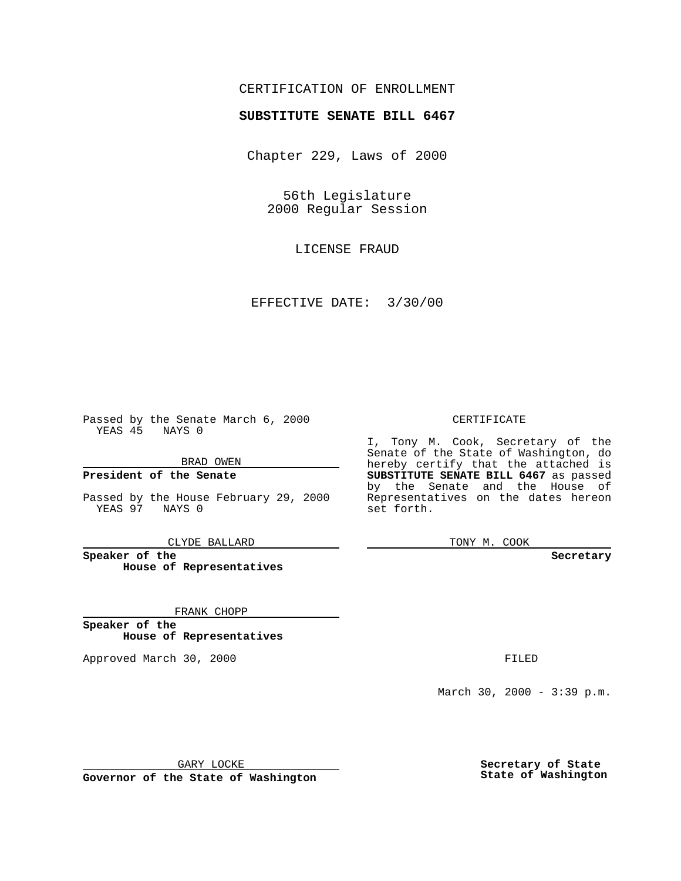## CERTIFICATION OF ENROLLMENT

# **SUBSTITUTE SENATE BILL 6467**

Chapter 229, Laws of 2000

56th Legislature 2000 Regular Session

LICENSE FRAUD

EFFECTIVE DATE: 3/30/00

Passed by the Senate March 6, 2000 YEAS 45 NAYS 0

BRAD OWEN

**President of the Senate**

Passed by the House February 29, 2000 YEAS 97 NAYS 0

CLYDE BALLARD

**Speaker of the House of Representatives**

FRANK CHOPP

**Speaker of the House of Representatives**

Approved March 30, 2000 FILED

#### CERTIFICATE

I, Tony M. Cook, Secretary of the Senate of the State of Washington, do hereby certify that the attached is **SUBSTITUTE SENATE BILL 6467** as passed by the Senate and the House of Representatives on the dates hereon set forth.

TONY M. COOK

**Secretary**

March 30, 2000 - 3:39 p.m.

GARY LOCKE

**Governor of the State of Washington**

**Secretary of State State of Washington**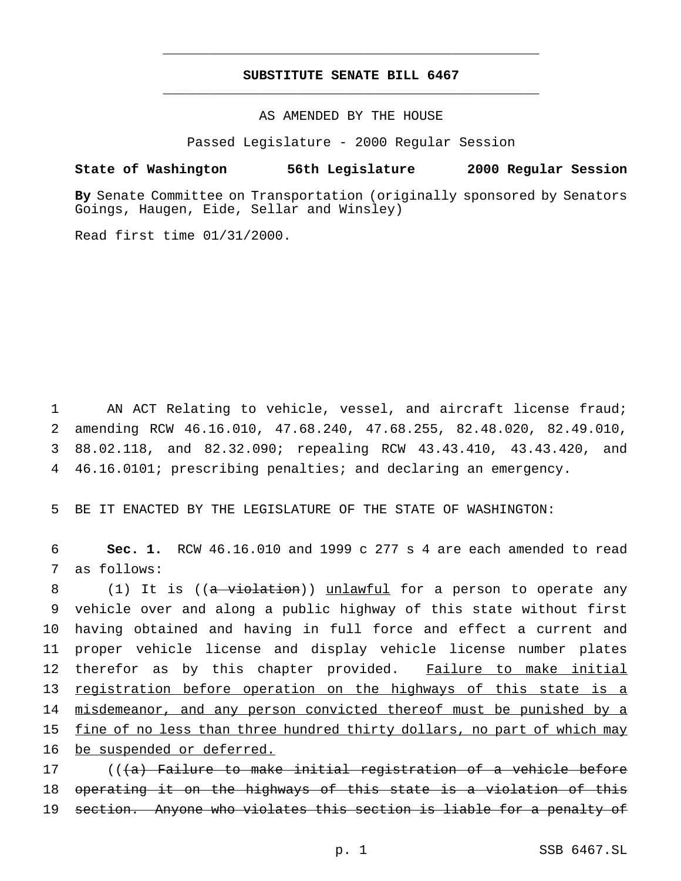## **SUBSTITUTE SENATE BILL 6467** \_\_\_\_\_\_\_\_\_\_\_\_\_\_\_\_\_\_\_\_\_\_\_\_\_\_\_\_\_\_\_\_\_\_\_\_\_\_\_\_\_\_\_\_\_\_\_

\_\_\_\_\_\_\_\_\_\_\_\_\_\_\_\_\_\_\_\_\_\_\_\_\_\_\_\_\_\_\_\_\_\_\_\_\_\_\_\_\_\_\_\_\_\_\_

AS AMENDED BY THE HOUSE

Passed Legislature - 2000 Regular Session

### **State of Washington 56th Legislature 2000 Regular Session**

**By** Senate Committee on Transportation (originally sponsored by Senators Goings, Haugen, Eide, Sellar and Winsley)

Read first time 01/31/2000.

 AN ACT Relating to vehicle, vessel, and aircraft license fraud; amending RCW 46.16.010, 47.68.240, 47.68.255, 82.48.020, 82.49.010, 88.02.118, and 82.32.090; repealing RCW 43.43.410, 43.43.420, and 46.16.0101; prescribing penalties; and declaring an emergency.

5 BE IT ENACTED BY THE LEGISLATURE OF THE STATE OF WASHINGTON:

6 **Sec. 1.** RCW 46.16.010 and 1999 c 277 s 4 are each amended to read 7 as follows:

8 (1) It is ((a violation)) unlawful for a person to operate any vehicle over and along a public highway of this state without first having obtained and having in full force and effect a current and proper vehicle license and display vehicle license number plates 12 therefor as by this chapter provided. Failure to make initial registration before operation on the highways of this state is a 14 misdemeanor, and any person convicted thereof must be punished by a fine of no less than three hundred thirty dollars, no part of which may be suspended or deferred.

17 (((a) Failure to make initial registration of a vehicle before 18 operating it on the highways of this state is a violation of this 19 section. Anyone who violates this section is liable for a penalty of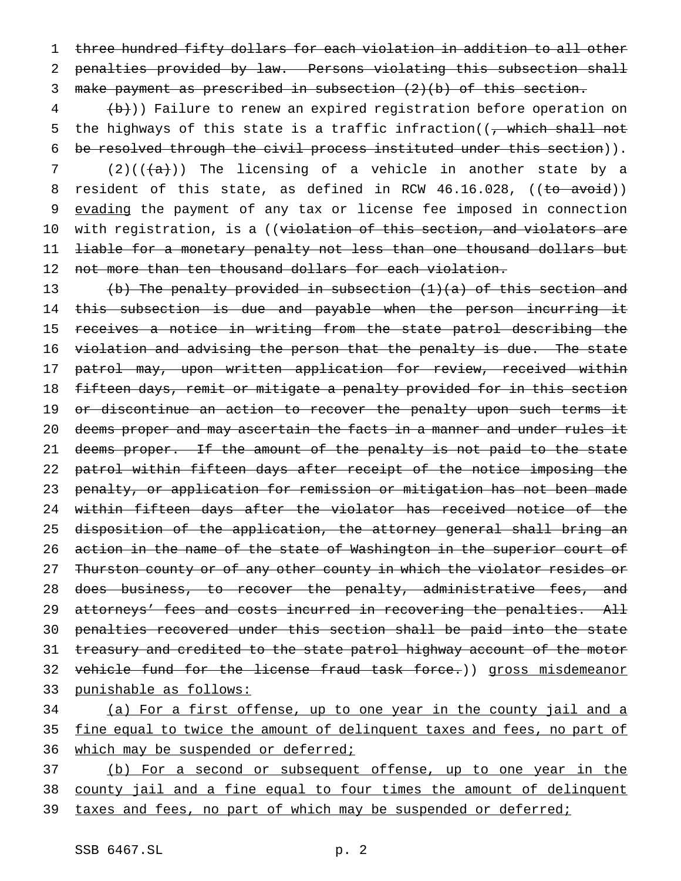1 three hundred fifty dollars for each violation in addition to all other 2 penalties provided by law. Persons violating this subsection shall 3 make payment as prescribed in subsection (2)(b) of this section.

4 (b)) Failure to renew an expired registration before operation on 5 the highways of this state is a traffic infraction( $\frac{1}{7}$  which shall not 6 be resolved through the civil process instituted under this section)).

7 (2)( $(\frac{1}{a})$ ) The licensing of a vehicle in another state by a 8 resident of this state, as defined in RCW 46.16.028, ((to avoid)) 9 evading the payment of any tax or license fee imposed in connection 10 with registration, is a ((violation of this section, and violators are 11 liable for a monetary penalty not less than one thousand dollars but 12 not more than ten thousand dollars for each violation.

13 (b) The penalty provided in subsection (1)(a) of this section and 14 this subsection is due and payable when the person incurring it 15 receives a notice in writing from the state patrol describing the 16 violation and advising the person that the penalty is due. The state 17 patrol may, upon written application for review, received within 18 fifteen days, remit or mitigate a penalty provided for in this section 19 or discontinue an action to recover the penalty upon such terms it 20 deems proper and may ascertain the facts in a manner and under rules it 21 deems proper. If the amount of the penalty is not paid to the state 22 patrol within fifteen days after receipt of the notice imposing the 23 penalty, or application for remission or mitigation has not been made 24 within fifteen days after the violator has received notice of the 25 disposition of the application, the attorney general shall bring an 26 action in the name of the state of Washington in the superior court of 27 Thurston county or of any other county in which the violator resides or 28 does business, to recover the penalty, administrative fees, and 29 attorneys' fees and costs incurred in recovering the penalties. All 30 penalties recovered under this section shall be paid into the state 31 treasury and credited to the state patrol highway account of the motor 32 vehicle fund for the license fraud task force.)) gross misdemeanor 33 punishable as follows:

34 (a) For a first offense, up to one year in the county jail and a 35 fine equal to twice the amount of delinquent taxes and fees, no part of 36 which may be suspended or deferred;

37 (b) For a second or subsequent offense, up to one year in the 38 county jail and a fine equal to four times the amount of delinquent 39 taxes and fees, no part of which may be suspended or deferred;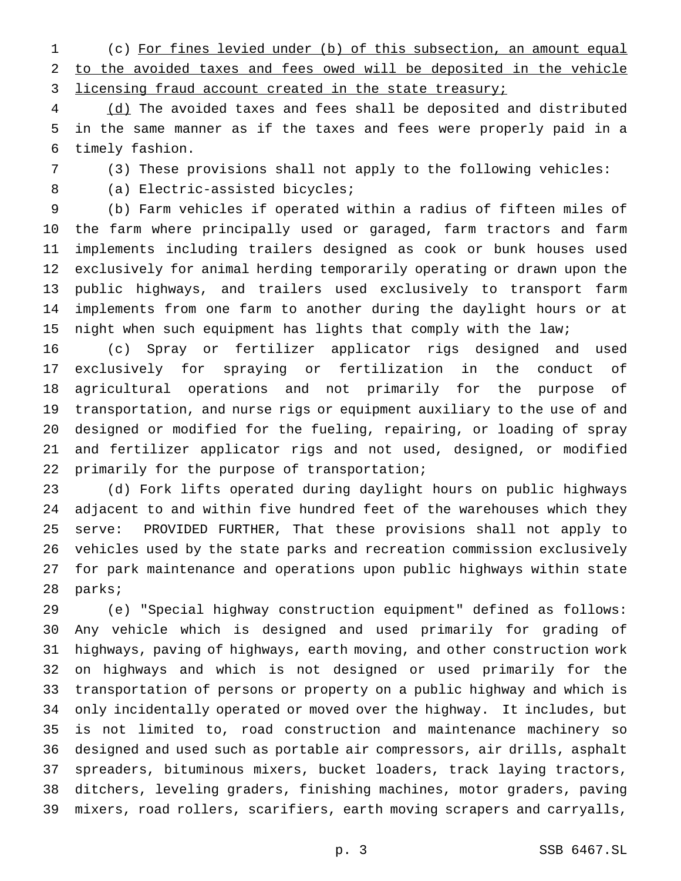(c) For fines levied under (b) of this subsection, an amount equal to the avoided taxes and fees owed will be deposited in the vehicle 3 licensing fraud account created in the state treasury;

 (d) The avoided taxes and fees shall be deposited and distributed in the same manner as if the taxes and fees were properly paid in a timely fashion.

(3) These provisions shall not apply to the following vehicles:

(a) Electric-assisted bicycles;

 (b) Farm vehicles if operated within a radius of fifteen miles of the farm where principally used or garaged, farm tractors and farm implements including trailers designed as cook or bunk houses used exclusively for animal herding temporarily operating or drawn upon the public highways, and trailers used exclusively to transport farm implements from one farm to another during the daylight hours or at night when such equipment has lights that comply with the law;

 (c) Spray or fertilizer applicator rigs designed and used exclusively for spraying or fertilization in the conduct of agricultural operations and not primarily for the purpose of transportation, and nurse rigs or equipment auxiliary to the use of and designed or modified for the fueling, repairing, or loading of spray and fertilizer applicator rigs and not used, designed, or modified primarily for the purpose of transportation;

 (d) Fork lifts operated during daylight hours on public highways adjacent to and within five hundred feet of the warehouses which they serve: PROVIDED FURTHER, That these provisions shall not apply to vehicles used by the state parks and recreation commission exclusively for park maintenance and operations upon public highways within state parks;

 (e) "Special highway construction equipment" defined as follows: Any vehicle which is designed and used primarily for grading of highways, paving of highways, earth moving, and other construction work on highways and which is not designed or used primarily for the transportation of persons or property on a public highway and which is only incidentally operated or moved over the highway. It includes, but is not limited to, road construction and maintenance machinery so designed and used such as portable air compressors, air drills, asphalt spreaders, bituminous mixers, bucket loaders, track laying tractors, ditchers, leveling graders, finishing machines, motor graders, paving mixers, road rollers, scarifiers, earth moving scrapers and carryalls,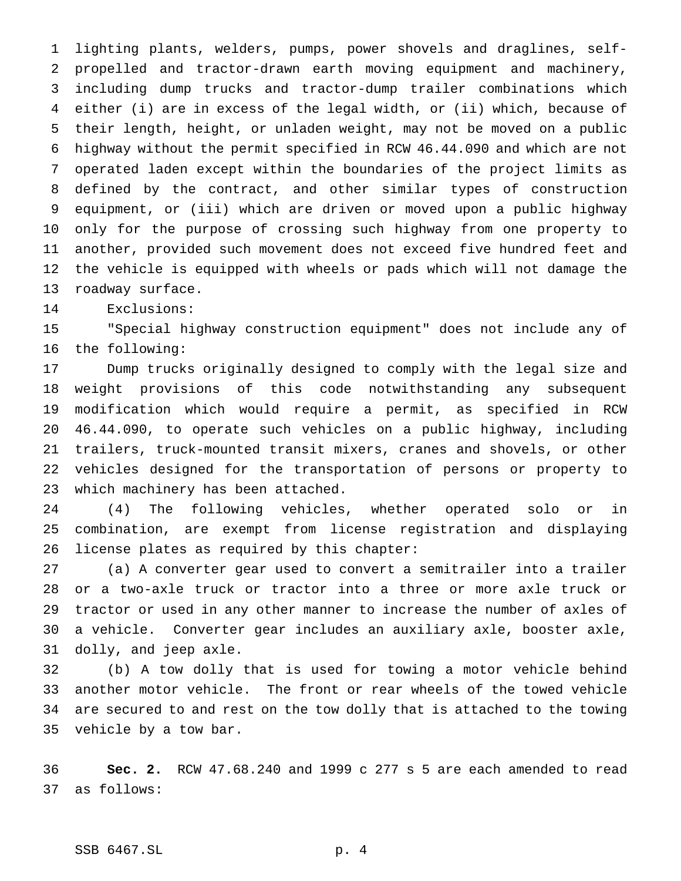lighting plants, welders, pumps, power shovels and draglines, self- propelled and tractor-drawn earth moving equipment and machinery, including dump trucks and tractor-dump trailer combinations which either (i) are in excess of the legal width, or (ii) which, because of their length, height, or unladen weight, may not be moved on a public highway without the permit specified in RCW 46.44.090 and which are not operated laden except within the boundaries of the project limits as defined by the contract, and other similar types of construction equipment, or (iii) which are driven or moved upon a public highway only for the purpose of crossing such highway from one property to another, provided such movement does not exceed five hundred feet and the vehicle is equipped with wheels or pads which will not damage the roadway surface.

Exclusions:

 "Special highway construction equipment" does not include any of the following:

 Dump trucks originally designed to comply with the legal size and weight provisions of this code notwithstanding any subsequent modification which would require a permit, as specified in RCW 46.44.090, to operate such vehicles on a public highway, including trailers, truck-mounted transit mixers, cranes and shovels, or other vehicles designed for the transportation of persons or property to which machinery has been attached.

 (4) The following vehicles, whether operated solo or in combination, are exempt from license registration and displaying license plates as required by this chapter:

 (a) A converter gear used to convert a semitrailer into a trailer or a two-axle truck or tractor into a three or more axle truck or tractor or used in any other manner to increase the number of axles of a vehicle. Converter gear includes an auxiliary axle, booster axle, dolly, and jeep axle.

 (b) A tow dolly that is used for towing a motor vehicle behind another motor vehicle. The front or rear wheels of the towed vehicle are secured to and rest on the tow dolly that is attached to the towing vehicle by a tow bar.

 **Sec. 2.** RCW 47.68.240 and 1999 c 277 s 5 are each amended to read as follows: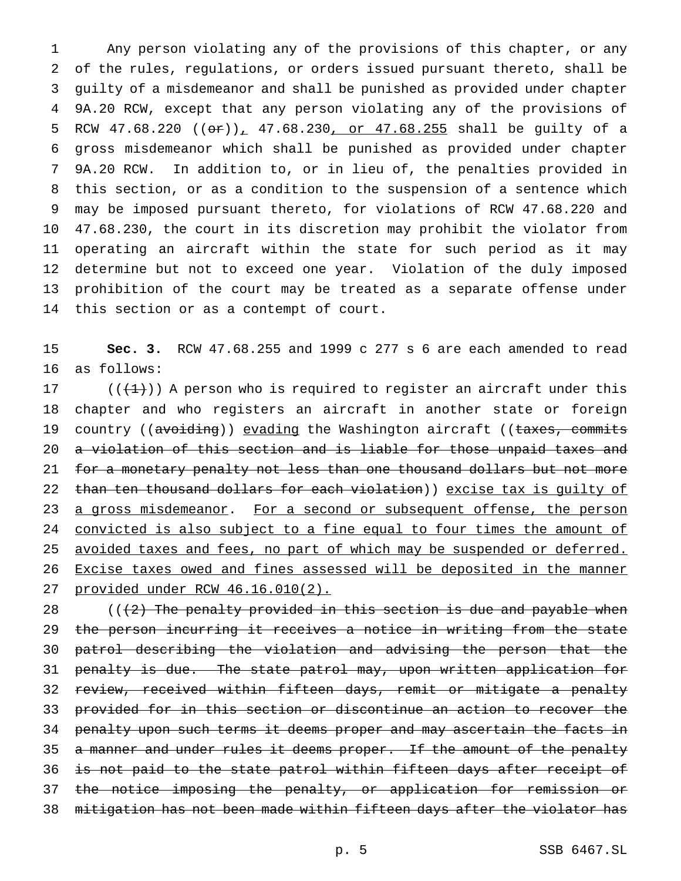Any person violating any of the provisions of this chapter, or any of the rules, regulations, or orders issued pursuant thereto, shall be guilty of a misdemeanor and shall be punished as provided under chapter 9A.20 RCW, except that any person violating any of the provisions of 5 RCW 47.68.220 ((or)), 47.68.230, or 47.68.255 shall be guilty of a gross misdemeanor which shall be punished as provided under chapter 9A.20 RCW. In addition to, or in lieu of, the penalties provided in this section, or as a condition to the suspension of a sentence which may be imposed pursuant thereto, for violations of RCW 47.68.220 and 47.68.230, the court in its discretion may prohibit the violator from operating an aircraft within the state for such period as it may determine but not to exceed one year. Violation of the duly imposed prohibition of the court may be treated as a separate offense under this section or as a contempt of court.

 **Sec. 3.** RCW 47.68.255 and 1999 c 277 s 6 are each amended to read as follows:

17 ( $(\{+\}$ )) A person who is required to register an aircraft under this chapter and who registers an aircraft in another state or foreign 19 country ((avoiding)) evading the Washington aircraft ((taxes, commits a violation of this section and is liable for those unpaid taxes and 21 for a monetary penalty not less than one thousand dollars but not more 22 than ten thousand dollars for each violation)) excise tax is guilty of 23 a gross misdemeanor. For a second or subsequent offense, the person 24 convicted is also subject to a fine equal to four times the amount of 25 avoided taxes and fees, no part of which may be suspended or deferred. Excise taxes owed and fines assessed will be deposited in the manner provided under RCW 46.16.010(2).

 $($   $($   $($   $\{$   $\}$   $)$  The penalty provided in this section is due and payable when 29 the person incurring it receives a notice in writing from the state patrol describing the violation and advising the person that the 31 penalty is due. The state patrol may, upon written application for 32 review, received within fifteen days, remit or mitigate a penalty provided for in this section or discontinue an action to recover the 34 penalty upon such terms it deems proper and may ascertain the facts in 35 a manner and under rules it deems proper. If the amount of the penalty is not paid to the state patrol within fifteen days after receipt of 37 the notice imposing the penalty, or application for remission or mitigation has not been made within fifteen days after the violator has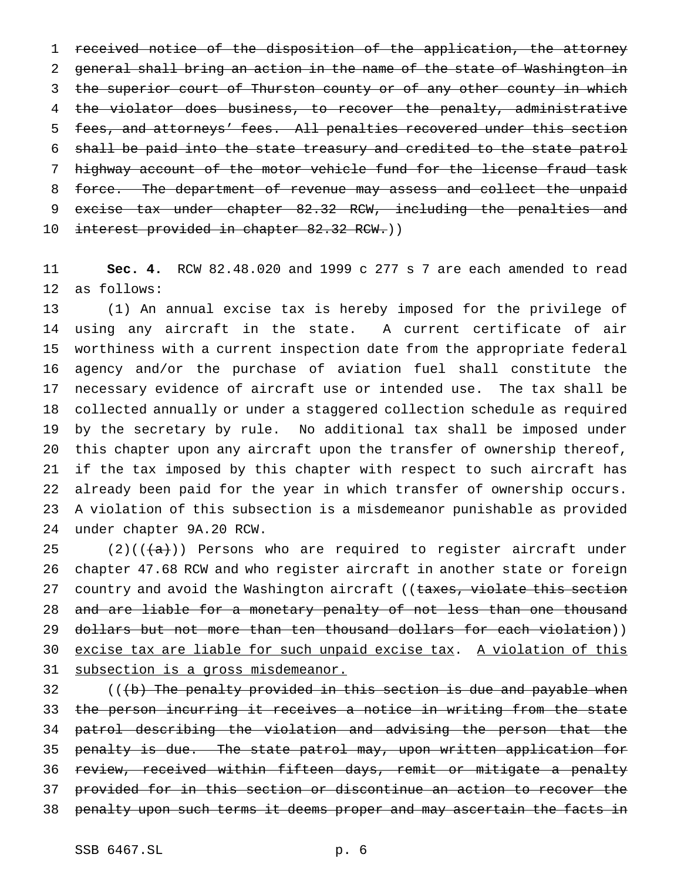received notice of the disposition of the application, the attorney general shall bring an action in the name of the state of Washington in 3 the superior court of Thurston county or of any other county in which 4 the violator does business, to recover the penalty, administrative fees, and attorneys' fees. All penalties recovered under this section shall be paid into the state treasury and credited to the state patrol highway account of the motor vehicle fund for the license fraud task 8 force. The department of revenue may assess and collect the unpaid excise tax under chapter 82.32 RCW, including the penalties and 10 interest provided in chapter 82.32 RCW.))

 **Sec. 4.** RCW 82.48.020 and 1999 c 277 s 7 are each amended to read as follows:

 (1) An annual excise tax is hereby imposed for the privilege of using any aircraft in the state. A current certificate of air worthiness with a current inspection date from the appropriate federal agency and/or the purchase of aviation fuel shall constitute the necessary evidence of aircraft use or intended use. The tax shall be collected annually or under a staggered collection schedule as required by the secretary by rule. No additional tax shall be imposed under this chapter upon any aircraft upon the transfer of ownership thereof, if the tax imposed by this chapter with respect to such aircraft has already been paid for the year in which transfer of ownership occurs. A violation of this subsection is a misdemeanor punishable as provided under chapter 9A.20 RCW.

25 (2)( $(\overline{a})$ ) Persons who are required to register aircraft under chapter 47.68 RCW and who register aircraft in another state or foreign 27 country and avoid the Washington aircraft ((taxes, violate this section 28 and are liable for a monetary penalty of not less than one thousand 29 dollars but not more than ten thousand dollars for each violation)) excise tax are liable for such unpaid excise tax. A violation of this subsection is a gross misdemeanor.

32 (((b) The penalty provided in this section is due and payable when 33 the person incurring it receives a notice in writing from the state patrol describing the violation and advising the person that the penalty is due. The state patrol may, upon written application for 36 review, received within fifteen days, remit or mitigate a penalty provided for in this section or discontinue an action to recover the 38 penalty upon such terms it deems proper and may ascertain the facts in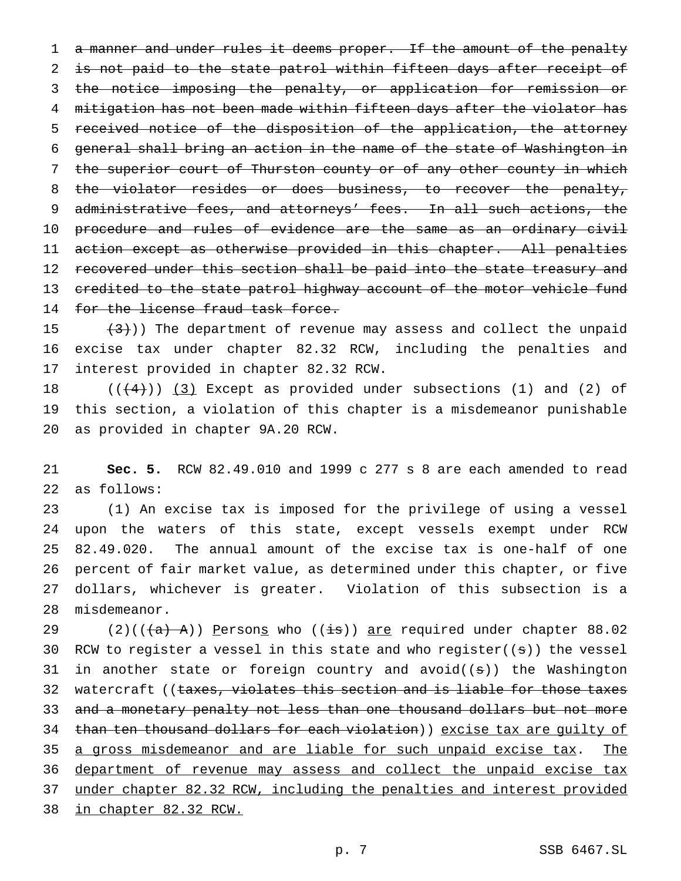1 a manner and under rules it deems proper. If the amount of the penalty 2 is not paid to the state patrol within fifteen days after receipt of 3 the notice imposing the penalty, or application for remission or 4 mitigation has not been made within fifteen days after the violator has 5 received notice of the disposition of the application, the attorney 6 general shall bring an action in the name of the state of Washington in 7 the superior court of Thurston county or of any other county in which 8 the violator resides or does business, to recover the penalty, 9 administrative fees, and attorneys' fees. In all such actions, the 10 procedure and rules of evidence are the same as an ordinary civil 11 action except as otherwise provided in this chapter. All penalties 12 recovered under this section shall be paid into the state treasury and 13 credited to the state patrol highway account of the motor vehicle fund 14 for the license fraud task force.

15  $(3)$ )) The department of revenue may assess and collect the unpaid 16 excise tax under chapter 82.32 RCW, including the penalties and 17 interest provided in chapter 82.32 RCW.

18  $((+4))$   $(3)$  Except as provided under subsections (1) and (2) of 19 this section, a violation of this chapter is a misdemeanor punishable 20 as provided in chapter 9A.20 RCW.

21 **Sec. 5.** RCW 82.49.010 and 1999 c 277 s 8 are each amended to read 22 as follows:

 (1) An excise tax is imposed for the privilege of using a vessel upon the waters of this state, except vessels exempt under RCW 82.49.020. The annual amount of the excise tax is one-half of one percent of fair market value, as determined under this chapter, or five dollars, whichever is greater. Violation of this subsection is a misdemeanor.

29 (2)( $(\overline{a} + a)$ ) Persons who ( $(\overline{a})$ ) are required under chapter 88.02 30 RCW to register a vessel in this state and who register( $(s)$ ) the vessel 31 in another state or foreign country and  $avoid((s))$  the Washington 32 watercraft ((taxes, violates this section and is liable for those taxes 33 and a monetary penalty not less than one thousand dollars but not more 34 than ten thousand dollars for each violation)) excise tax are quilty of 35 a gross misdemeanor and are liable for such unpaid excise tax. The 36 department of revenue may assess and collect the unpaid excise tax 37 under chapter 82.32 RCW, including the penalties and interest provided 38 in chapter 82.32 RCW.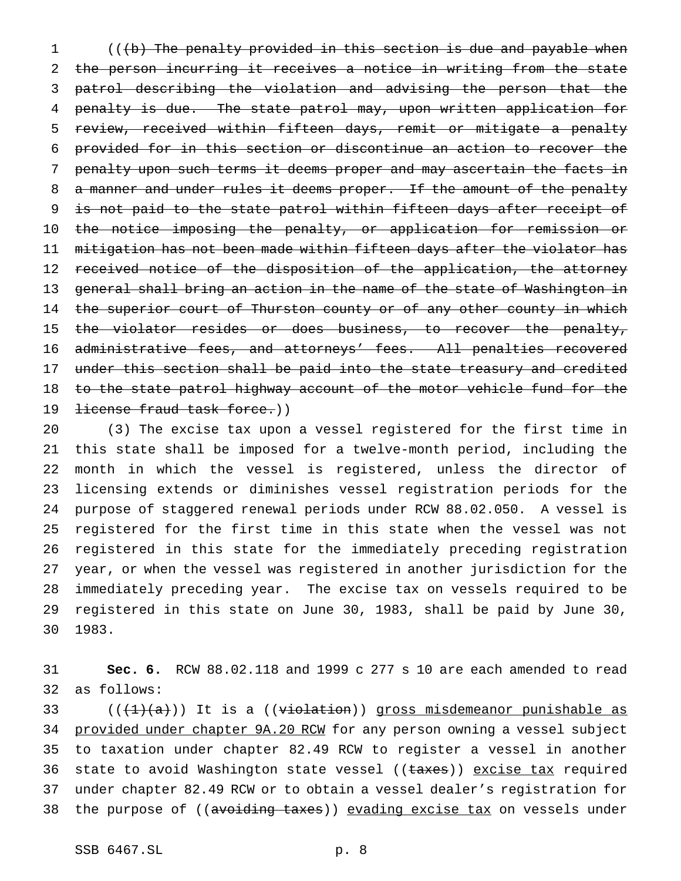1 (((b) The penalty provided in this section is due and payable when 2 the person incurring it receives a notice in writing from the state 3 patrol describing the violation and advising the person that the 4 penalty is due. The state patrol may, upon written application for 5 review, received within fifteen days, remit or mitigate a penalty 6 provided for in this section or discontinue an action to recover the 7 penalty upon such terms it deems proper and may ascertain the facts in 8 a manner and under rules it deems proper. If the amount of the penalty 9 is not paid to the state patrol within fifteen days after receipt of 10 the notice imposing the penalty, or application for remission or 11 mitigation has not been made within fifteen days after the violator has 12 received notice of the disposition of the application, the attorney 13 general shall bring an action in the name of the state of Washington in 14 the superior court of Thurston county or of any other county in which 15 the violator resides or does business, to recover the penalty, 16 administrative fees, and attorneys' fees. All penalties recovered 17 under this section shall be paid into the state treasury and credited 18 to the state patrol highway account of the motor vehicle fund for the 19 <del>license fraud task force.</del>))

 (3) The excise tax upon a vessel registered for the first time in this state shall be imposed for a twelve-month period, including the month in which the vessel is registered, unless the director of licensing extends or diminishes vessel registration periods for the purpose of staggered renewal periods under RCW 88.02.050. A vessel is registered for the first time in this state when the vessel was not registered in this state for the immediately preceding registration year, or when the vessel was registered in another jurisdiction for the immediately preceding year. The excise tax on vessels required to be registered in this state on June 30, 1983, shall be paid by June 30, 30 1983.

31 **Sec. 6.** RCW 88.02.118 and 1999 c 277 s 10 are each amended to read 32 as follows:

33  $((+1)(a))$  It is a  $((\text{violation})$  gross misdemeanor punishable as 34 provided under chapter 9A.20 RCM for any person owning a vessel subject 35 to taxation under chapter 82.49 RCW to register a vessel in another 36 state to avoid Washington state vessel ((taxes)) excise tax required 37 under chapter 82.49 RCW or to obtain a vessel dealer's registration for 38 the purpose of ((avoiding taxes)) evading excise tax on vessels under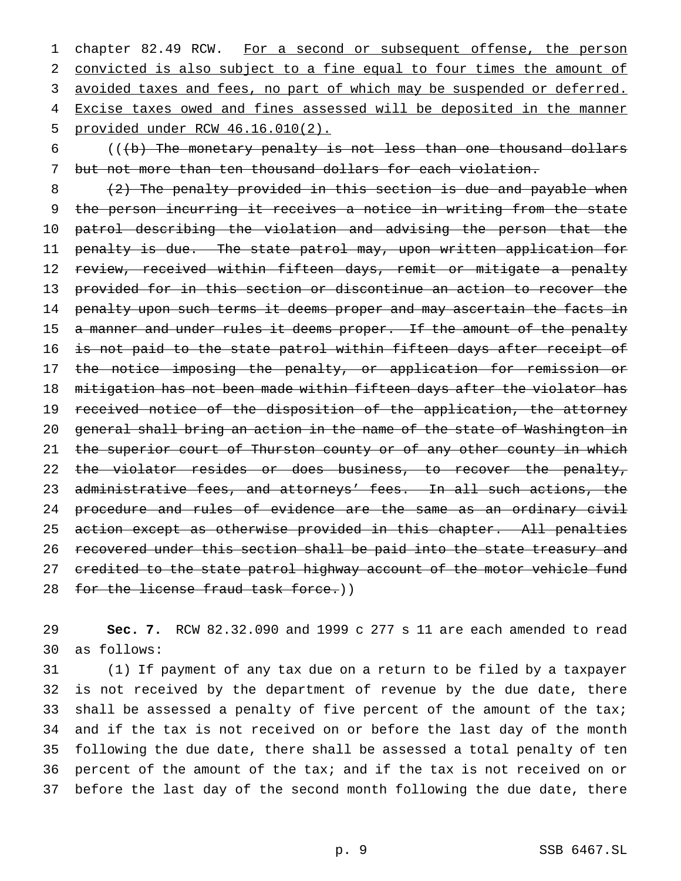1 chapter 82.49 RCW. For a second or subsequent offense, the person 2 convicted is also subject to a fine equal to four times the amount of 3 avoided taxes and fees, no part of which may be suspended or deferred. 4 Excise taxes owed and fines assessed will be deposited in the manner 5 provided under RCW 46.16.010(2).

6  $((\phi)$  The monetary penalty is not less than one thousand dollars 7 but not more than ten thousand dollars for each violation.

8  $(2)$  The penalty provided in this section is due and payable when 9 the person incurring it receives a notice in writing from the state 10 patrol describing the violation and advising the person that the 11 penalty is due. The state patrol may, upon written application for 12 review, received within fifteen days, remit or mitigate a penalty 13 provided for in this section or discontinue an action to recover the 14 penalty upon such terms it deems proper and may ascertain the facts in 15 a manner and under rules it deems proper. If the amount of the penalty 16 is not paid to the state patrol within fifteen days after receipt of 17 the notice imposing the penalty, or application for remission or 18 mitigation has not been made within fifteen days after the violator has 19 received notice of the disposition of the application, the attorney 20 general shall bring an action in the name of the state of Washington in 21 the superior court of Thurston county or of any other county in which 22 the violator resides or does business, to recover the penalty, 23 administrative fees, and attorneys' fees. In all such actions, the 24 procedure and rules of evidence are the same as an ordinary civil 25 action except as otherwise provided in this chapter. All penalties 26 recovered under this section shall be paid into the state treasury and 27 credited to the state patrol highway account of the motor vehicle fund 28 for the license fraud task force.))

29 **Sec. 7.** RCW 82.32.090 and 1999 c 277 s 11 are each amended to read 30 as follows:

 (1) If payment of any tax due on a return to be filed by a taxpayer is not received by the department of revenue by the due date, there 33 shall be assessed a penalty of five percent of the amount of the tax; and if the tax is not received on or before the last day of the month following the due date, there shall be assessed a total penalty of ten percent of the amount of the tax; and if the tax is not received on or before the last day of the second month following the due date, there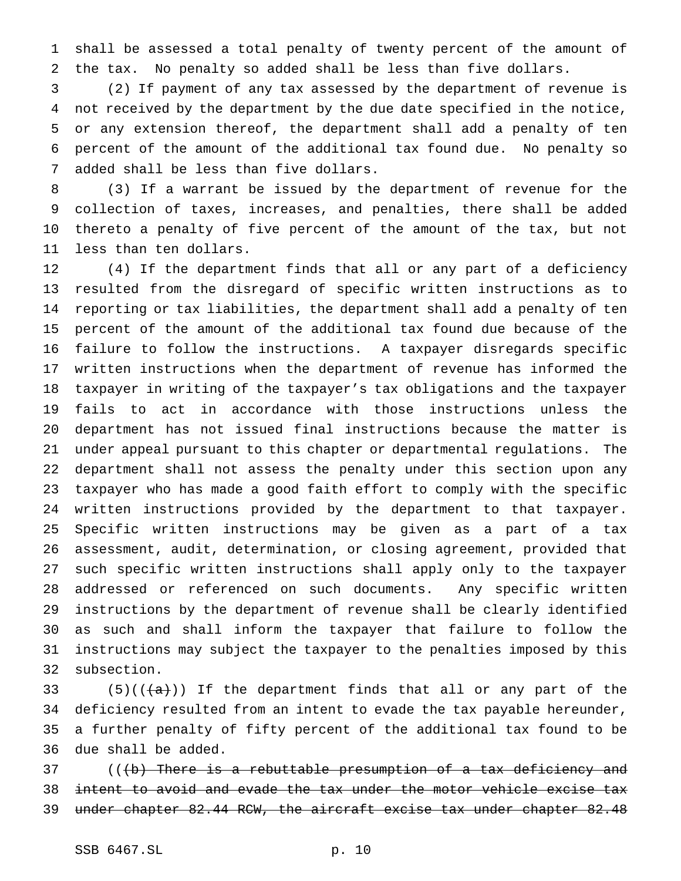shall be assessed a total penalty of twenty percent of the amount of the tax. No penalty so added shall be less than five dollars.

 (2) If payment of any tax assessed by the department of revenue is not received by the department by the due date specified in the notice, or any extension thereof, the department shall add a penalty of ten percent of the amount of the additional tax found due. No penalty so added shall be less than five dollars.

 (3) If a warrant be issued by the department of revenue for the collection of taxes, increases, and penalties, there shall be added thereto a penalty of five percent of the amount of the tax, but not less than ten dollars.

 (4) If the department finds that all or any part of a deficiency resulted from the disregard of specific written instructions as to reporting or tax liabilities, the department shall add a penalty of ten percent of the amount of the additional tax found due because of the failure to follow the instructions. A taxpayer disregards specific written instructions when the department of revenue has informed the taxpayer in writing of the taxpayer's tax obligations and the taxpayer fails to act in accordance with those instructions unless the department has not issued final instructions because the matter is under appeal pursuant to this chapter or departmental regulations. The department shall not assess the penalty under this section upon any taxpayer who has made a good faith effort to comply with the specific written instructions provided by the department to that taxpayer. Specific written instructions may be given as a part of a tax assessment, audit, determination, or closing agreement, provided that such specific written instructions shall apply only to the taxpayer addressed or referenced on such documents. Any specific written instructions by the department of revenue shall be clearly identified as such and shall inform the taxpayer that failure to follow the instructions may subject the taxpayer to the penalties imposed by this subsection.

33 (5)( $(\frac{1}{(a)})$ ) If the department finds that all or any part of the deficiency resulted from an intent to evade the tax payable hereunder, a further penalty of fifty percent of the additional tax found to be due shall be added.

37 (((b) There is a rebuttable presumption of a tax deficiency and intent to avoid and evade the tax under the motor vehicle excise tax under chapter 82.44 RCW, the aircraft excise tax under chapter 82.48